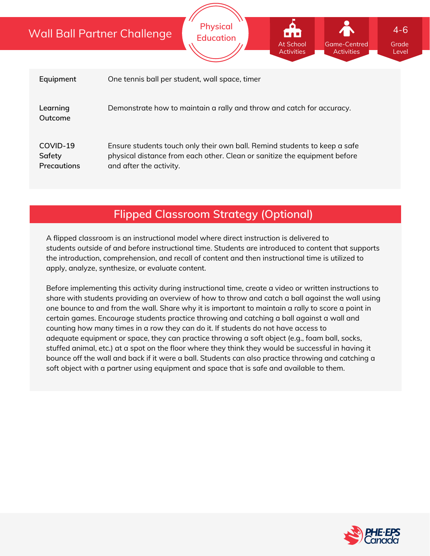## Wall Ball Partner Challenge

|                                          | <u>VUII DUII FUITIEI CHUIIENUE</u><br>.<br><b>Education</b><br>At School<br><b>Game-Centred</b><br>Grade<br><b>Activities</b><br><b>Activities</b><br>Level                       |
|------------------------------------------|-----------------------------------------------------------------------------------------------------------------------------------------------------------------------------------|
|                                          |                                                                                                                                                                                   |
| Equipment                                | One tennis ball per student, wall space, timer                                                                                                                                    |
| Learning<br>Outcome                      | Demonstrate how to maintain a rally and throw and catch for accuracy.                                                                                                             |
| COVID-19<br>Safety<br><b>Precautions</b> | Ensure students touch only their own ball. Remind students to keep a safe<br>physical distance from each other. Clean or sanitize the equipment before<br>and after the activity. |

**Physical**

# **Flipped Classroom Strategy (Optional)**

A flipped classroom is an instructional model where direct instruction is delivered to students *outside of* and *before* instructional time. Students are introduced to content that supports the introduction, comprehension, and recall of content and then instructional time is utilized to apply, analyze, synthesize, or evaluate content.

Before implementing this activity during instructional time, create a video or written instructions to share with students providing an overview of how to throw and catch a ball against the wall using one bounce to and from the wall. Share why it is important to maintain a rally to score a point in certain games. Encourage students practice throwing and catching a ball against a wall and counting how many times in a row they can do it. If students do not have access to adequate equipment or space, they can practice throwing a soft object (e.g., foam ball, socks, stuffed animal, etc.) at a spot on the floor where they think they would be successful in having it bounce off the wall and back if it were a ball. Students can also practice throwing and catching a soft object with a partner using equipment and space that is safe and available to them.



4-6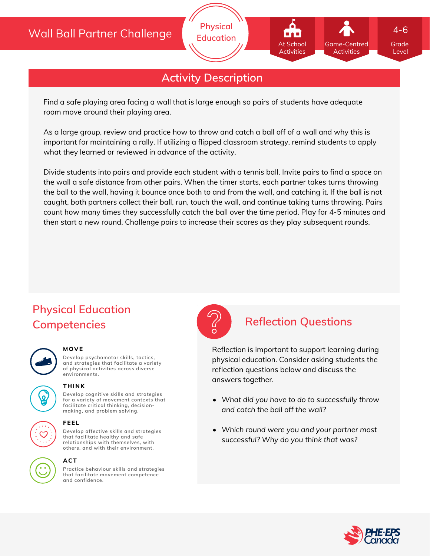## Wall Ball Partner Challenge



**Physical Education**

Find a safe playing area facing a wall that is large enough so pairs of students have adequate room move around their playing area.

As a large group, review and practice how to throw and catch a ball off of a wall and why this is important for maintaining a rally. If utilizing a flipped classroom strategy, remind students to apply what they learned or reviewed in advance of the activity.

Divide students into pairs and provide each student with a tennis ball. Invite pairs to find a space on the wall a safe distance from other pairs. When the timer starts, each partner takes turns throwing the ball to the wall, having it bounce once both to and from the wall, and catching it. If the ball is not caught, both partners collect their ball, run, touch the wall, and continue taking turns throwing. Pairs count how many times they successfully catch the ball over the time period. Play for 4-5 minutes and then start a new round. Challenge pairs to increase their scores as they play subsequent rounds.

# **Physical Education Competencies Reflection Questions**

### **MOVE**

**Develop psychomotor skills, tactics, and strategies that facilitate a variety of physical activities across diverse environments.**



**Develop cognitive skills and strategies for a variety of movement contexts that facilitate critical thinking, decision- THINK**

**making, and problem solving.**



**FEEL**

**relationships with themselves, with others, and with their environment. ACT**

**Develop affective skills and strategies that facilitate healthy and safe**

**Practice behaviour skills and strategies that facilitate movement competence and confidence.**



Reflection is important to support learning during physical education. Consider asking students the reflection questions below and discuss the answers together.

- *What did you have to do to successfully throw and catch the ball off the wall?*
- *Which round were you and your partner most successful? Why do you think that was?*



Grade Level

4-6

Game-Centred Activities

At School **Activities**